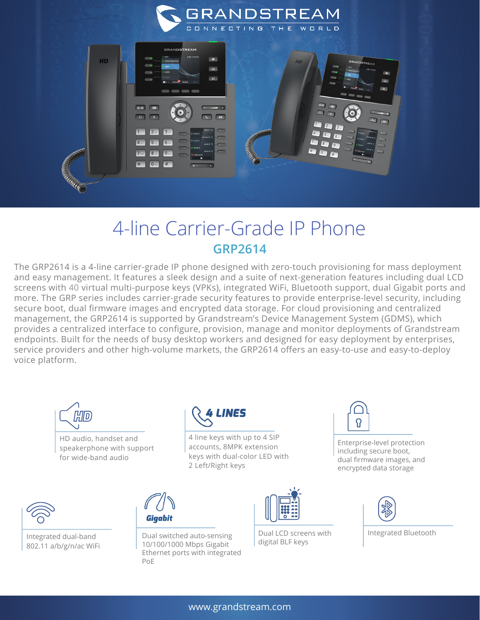



## 4-line Carrier-Grade IP Phone **GRP2614**

The GRP2614 is a 4-line carrier-grade IP phone designed with zero-touch provisioning for mass deployment and easy management. It features a sleek design and a suite of next-generation features including dual LCD screens with 40 virtual multi-purpose keys (VPKs), integrated WiFi, Bluetooth support, dual Gigabit ports and more. The GRP series includes carrier-grade security features to provide enterprise-level security, including secure boot, dual firmware images and encrypted data storage. For cloud provisioning and centralized management, the GRP2614 is supported by Grandstream's Device Management System (GDMS), which provides a centralized interface to configure, provision, manage and monitor deployments of Grandstream endpoints. Built for the needs of busy desktop workers and designed for easy deployment by enterprises, service providers and other high-volume markets, the GRP2614 offers an easy-to-use and easy-to-deploy voice platform.



HD audio, handset and speakerphone with support for wide-band audio



10/100/1000 Mbps Gigabit Ethernet ports with integrated

PoE

Gigabit

4 line keys with up to 4 SIP accounts, 8MPK extension keys with dual-color LED with 2 Left/Right keys



Integrated dual-band **Dual switched auto-sensing** Dual LCD Screen Unit integrated dual-band Dual Dual LCD Screen<br>
2002-11-a/b/g/p/ac.Wit: 10/100/1000 Mbps Gigabit digital BLF keys 802.11 a/b/g/n/ac WiFi



Dual LCD screens with<br>digital BLF keys



Enterprise-level protection including secure boot, dual firmware images, and encrypted data storage



Integrated Bluetooth